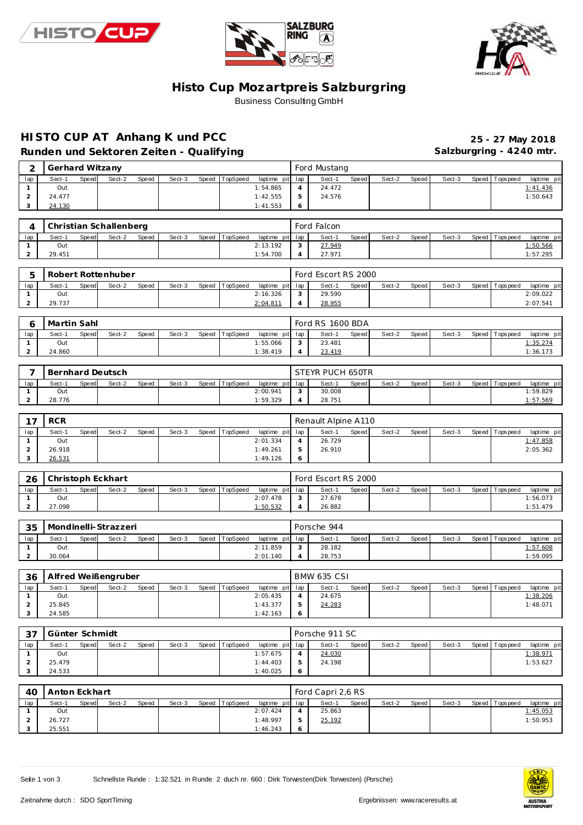





### **Histo Cup Mozartpre is Salzburgring Business Consulting GmbH**

# **HISTO CUP AT Anhang K und PCC 25 - 27 May 2018**

Runden und Sektoren Zeiten - Qualifying **Salzburgring - 4240 mtr.** Salzburgring - 4240 mtr.

|     | Gerhard Witzany |       |        |       |        |       |          |                 |   | Ford Mustang |       |        |       |        |                 |             |  |
|-----|-----------------|-------|--------|-------|--------|-------|----------|-----------------|---|--------------|-------|--------|-------|--------|-----------------|-------------|--|
| lap | Sect-1          | Speed | Sect-2 | Speed | Sect-3 | Speed | TopSpeed | laptime pit lap |   | Sect-1       | Speed | Sect-2 | Speed | Sect-3 | Speed Tops peed | laptime pit |  |
|     | Out             |       |        |       |        |       |          | 1:54.865        |   | 24.472       |       |        |       |        |                 | 1:41.436    |  |
|     | 24.477          |       |        |       |        |       |          | 1:42.555        |   | 24.576       |       |        |       |        |                 | 1:50.643    |  |
|     | 24.130          |       |        |       |        |       |          | 1:41.553        | O |              |       |        |       |        |                 |             |  |

|     |        |       | Christian Schallenberg |              |        |                |                 | Ford Falcon |       |        |       |        |                   |             |
|-----|--------|-------|------------------------|--------------|--------|----------------|-----------------|-------------|-------|--------|-------|--------|-------------------|-------------|
| lap | Sect-1 | Speed | Sect-2                 | <b>Speed</b> | Sect-3 | Speed TopSpeed | laptime pit lap | Sect-1      | Speed | Sect-2 | Speed | Sect-3 | Speed   Tops peed | laptime pit |
|     | Out    |       |                        |              |        |                | 2:13.192        | 27.949      |       |        |       |        |                   | 1:50.566    |
|     | 29.451 |       |                        |              |        |                | 1:54.700        | 27.971      |       |        |       |        |                   | 1:57.295    |

|     |        |              | Robert Rottenhuber |       |        |       |          |                 |        | Ford Escort RS 2000 |       |        |       |        |                 |                |
|-----|--------|--------------|--------------------|-------|--------|-------|----------|-----------------|--------|---------------------|-------|--------|-------|--------|-----------------|----------------|
| lap | Sect-1 | <b>Speed</b> | Sect-2             | Speed | Sect-3 | Speed | TopSpeed | laptime pit lap |        | Sect-1              | Speed | Sect-2 | Speed | Sect-3 | Speed Tops peed | laptime<br>pit |
|     | Out    |              |                    |       |        |       |          | 2:16.326        | $\sim$ | 29.590              |       |        |       |        |                 | 2:09.022       |
|     | 29.737 |              |                    |       |        |       |          | 2:04.81         |        | 28.955              |       |        |       |        |                 | 2:07.541       |

|     | Martin Sahl |       |        |       |        |                |                 | Ford RS 1600 BDA |       |        |         |        |                 |             |
|-----|-------------|-------|--------|-------|--------|----------------|-----------------|------------------|-------|--------|---------|--------|-----------------|-------------|
| lap | Sect-1      | Speed | Sect-2 | Speed | Sect-3 | Speed TopSpeed | laptime pit lap | Sect-1           | Speed | Sect-2 | Speed I | Sect-3 | Speed Tops peed | laptime pit |
|     | Out         |       |        |       |        |                | 1:55.066        | 23.481           |       |        |         |        |                 | 1:35.274    |
|     | 24.860      |       |        |       |        |                | 1:38.419        | 23.419           |       |        |         |        |                 | 1:36.173    |

|     |        |              | Bernhard Deutsch |              |        |                |                 | STEYR PUCH 650TR |       |        |       |        |                |                 |
|-----|--------|--------------|------------------|--------------|--------|----------------|-----------------|------------------|-------|--------|-------|--------|----------------|-----------------|
| lap | Sect-1 | <b>Speed</b> | Sect-2           | <b>Speed</b> | Sect-3 | Speed TopSpeed | laptime pit lap | Sect-            | Speed | Sect-2 | Speed | Sect-3 | Speed Topspeed | laptime pit     |
|     | Out    |              |                  |              |        |                | 2:00.941        | 30.008           |       |        |       |        |                | 1:59.829        |
|     | 28.776 |              |                  |              |        |                | 1:59.329        | 28.751           |       |        |       |        |                | <u>1:57.569</u> |

| $\rightarrow$ | <b>RCR</b> |       |        |       |        |       |          |                 |   | Renault Alpine A110 |       |        |       |        |                   |             |
|---------------|------------|-------|--------|-------|--------|-------|----------|-----------------|---|---------------------|-------|--------|-------|--------|-------------------|-------------|
| lap           | Sect-1     | Speed | Sect-2 | Speed | Sect-3 | Speed | TopSpeed | laptime pit lap |   | Sect-1              | Speed | Sect-2 | Speed | Sect-3 | Speed   Tops peed | laptime pit |
|               | Out        |       |        |       |        |       |          | 2:01.334        | 4 | 26.729              |       |        |       |        |                   | 1:47.858    |
|               | 26.918     |       |        |       |        |       |          | 1:49.261        | ь | 26.910              |       |        |       |        |                   | 2:05.362    |
|               | 26.531     |       |        |       |        |       |          | 1:49.126        | Ô |                     |       |        |       |        |                   |             |

| 26  |        |       | Christoph Eckhart |       |        |       |          |                 | Ford Escort RS 2000 |       |        |       |        |                 |             |
|-----|--------|-------|-------------------|-------|--------|-------|----------|-----------------|---------------------|-------|--------|-------|--------|-----------------|-------------|
| lap | Sect-1 | Speed | Sect-2            | Speed | Sect-3 | Speed | TopSpeed | laptime pit lap | Sect-1              | Speed | Sect-2 | Speed | Sect-3 | Speed Tops peed | laptime pit |
|     | Out    |       |                   |       |        |       |          | 2:07.478        | 27.678              |       |        |       |        |                 | 1:56.073    |
|     | 27.098 |       |                   |       |        |       |          | 1:50.532        | 26.882              |       |        |       |        |                 | 1:51.479    |

| -35 |        |       | Mondinelli-Strazzeri |              |        |       |          |                 | Porsche 944 |       |        |       |        |                |             |
|-----|--------|-------|----------------------|--------------|--------|-------|----------|-----------------|-------------|-------|--------|-------|--------|----------------|-------------|
| lap | Sect-1 | Speed | Sect-2               | <b>Speed</b> | Sect-3 | Speed | TopSpeed | laptime pit lap | Sect-1      | Speed | Sect-2 | Speed | Sect-3 | Speed Topspeed | laptime pit |
|     | Out    |       |                      |              |        |       |          | 2:11.859        | 28.182      |       |        |       |        |                | 1:57.608    |
|     | 30.064 |       |                      |              |        |       |          | 2:01.140        | 28.753      |       |        |       |        |                | 1:59.095    |

| 36  |        |       | Alfred Weißengruber |       |        |       |          |                 |   | <b>BMW 635 CSI</b> |       |        |       |        |                 |             |
|-----|--------|-------|---------------------|-------|--------|-------|----------|-----------------|---|--------------------|-------|--------|-------|--------|-----------------|-------------|
| lap | Sect-1 | Speed | Sect-2              | Speed | Sect-3 | Speed | TopSpeed | laptime pit lap |   | Sect-1             | Speed | Sect-2 | Speed | Sect-3 | Speed Tops peed | laptime pit |
|     | Out    |       |                     |       |        |       |          | 2:05.435        |   | 24.675             |       |        |       |        |                 | 1:38.206    |
|     | 25.845 |       |                     |       |        |       |          | 1:43.377        |   | 24.283             |       |        |       |        |                 | 1:48.071    |
|     | 24.585 |       |                     |       |        |       |          | 1:42.163        | O |                    |       |        |       |        |                 |             |

| 27  | Günter Schmidt |       |        |       |        |                |                 | Porsche 911 SC |         |        |         |        |                 |             |
|-----|----------------|-------|--------|-------|--------|----------------|-----------------|----------------|---------|--------|---------|--------|-----------------|-------------|
| lap | Sect-1         | Speed | Sect-2 | Speed | Sect-3 | Speed TopSpeed | laptime pit lap | Sect-1         | Speed I | Sect-2 | Speed I | Sect-3 | Speed Tops peed | laptime pit |
|     | Out            |       |        |       |        |                | 1:57.675        | 24.030         |         |        |         |        |                 | 1:38.971    |
|     | 25.479         |       |        |       |        |                | 1:44.403        | 24.198         |         |        |         |        |                 | 1:53.627    |
|     | 24.533         |       |        |       |        |                | 1:40.025        |                |         |        |         |        |                 |             |

| 40  | l Anton Eckhart |              |        |       |        |                |                 |   | Ford Capri 2,6 RS |       |        |       |        |                 |             |
|-----|-----------------|--------------|--------|-------|--------|----------------|-----------------|---|-------------------|-------|--------|-------|--------|-----------------|-------------|
| lap | Sect-1          | <b>Speed</b> | Sect-2 | Speed | Sect-3 | Speed TopSpeed | laptime pit lap |   | Sect-1            | Speed | Sect-2 | Speed | Sect-3 | Speed Tops peed | laptime pit |
|     | Out             |              |        |       |        |                | 2:07.424        |   | 25.863            |       |        |       |        |                 | 1:45.053    |
|     | 26.727          |              |        |       |        |                | 1:48.997        | 5 | 25.192            |       |        |       |        |                 | 1:50.953    |
|     | 25.551          |              |        |       |        |                | 1:46.243        | 6 |                   |       |        |       |        |                 |             |

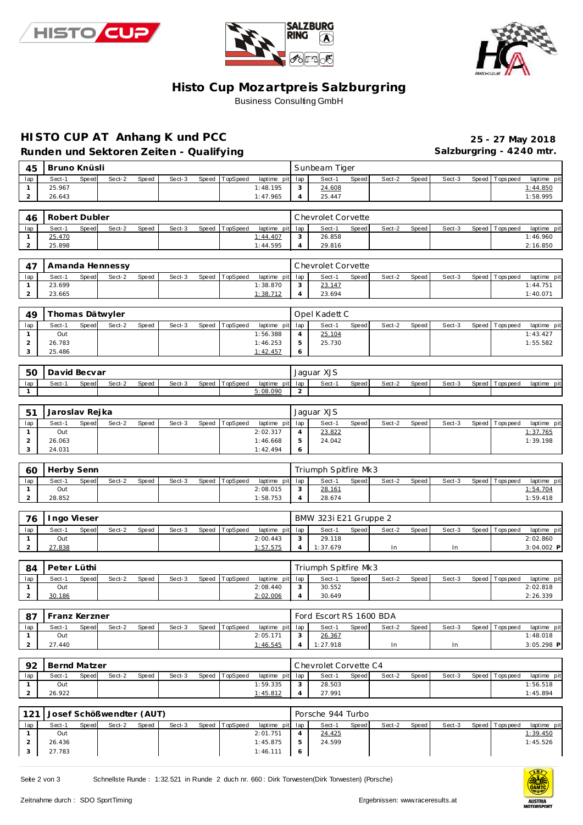





### **Histo Cup Mozartpre is Salzburgring** Business Consulting GmbH

### **HISTO CUP AT Anhang K und PCC 25 - 27 May 2018**

Runden und Sektoren Zeiten - Qualifying **Salzburgring - 4240 mtr.** 

| 45                             | Bruno Knüsli           |       |                          |       |        |       |           |                         |                | Sunbeam Tiger                  |       |        |       |        |       |                   |                                                                                                                             |
|--------------------------------|------------------------|-------|--------------------------|-------|--------|-------|-----------|-------------------------|----------------|--------------------------------|-------|--------|-------|--------|-------|-------------------|-----------------------------------------------------------------------------------------------------------------------------|
| lap                            | Sect-1                 | Speed | Sect-2                   | Speed | Sect-3 | Speed | TopSpeed  | laptime pit             | lap            | Sect-1                         | Speed | Sect-2 | Speed | Sect-3 | Speed | T ops pee d       | laptime pit                                                                                                                 |
| $\mathbf{1}$                   | 25.967                 |       |                          |       |        |       |           | 1:48.195                | 3              | 24.608                         |       |        |       |        |       |                   | 1:44.850                                                                                                                    |
| $\overline{a}$                 | 26.643                 |       |                          |       |        |       |           | 1:47.965                | $\overline{4}$ | 25.447                         |       |        |       |        |       |                   | 1:58.995                                                                                                                    |
| 46                             | Robert Dubler          |       |                          |       |        |       |           |                         |                | Chevrolet Corvette             |       |        |       |        |       |                   |                                                                                                                             |
| lap                            | Sect-1                 | Speed | Sect-2                   | Speed | Sect-3 | Speed | T opSpeed | laptime pit             | lap            | Sect-1                         | Speed | Sect-2 | Speed | Sect-3 | Speed | T ops pee d       | laptime pit                                                                                                                 |
| 1                              | 25.470                 |       |                          |       |        |       |           | 1:44.407                | 3              | 26.858                         |       |        |       |        |       |                   | 1:46.960                                                                                                                    |
| $\overline{a}$                 | 25.898                 |       |                          |       |        |       |           | 1:44.595                | 4              | 29.816                         |       |        |       |        |       |                   | 2:16.850                                                                                                                    |
|                                |                        |       |                          |       |        |       |           |                         |                |                                |       |        |       |        |       |                   |                                                                                                                             |
| 47                             |                        |       | Amanda Hennessy          |       |        |       |           |                         |                | Chevrolet Corvette             |       |        |       |        |       |                   |                                                                                                                             |
| lap<br>1                       | Sect-1<br>23.699       | Speed | Sect-2                   | Speed | Sect-3 | Speed | TopSpeed  | laptime pit<br>1:38.870 | lap<br>3       | Sect-1<br>23.147               | Speed | Sect-2 | Speed | Sect-3 | Speed | <b>Tops peed</b>  | laptime pit<br>1:44.751                                                                                                     |
| $\overline{a}$                 | 23.665                 |       |                          |       |        |       |           | 1:38.712                | $\overline{4}$ | 23.694                         |       |        |       |        |       |                   | 1:40.071                                                                                                                    |
|                                |                        |       |                          |       |        |       |           |                         |                |                                |       |        |       |        |       |                   |                                                                                                                             |
| 49                             |                        |       | Thomas Dätwyler          |       |        |       |           |                         |                | Opel Kadett C                  |       |        |       |        |       |                   |                                                                                                                             |
| lap                            | Sect-1                 | Speed | Sect-2                   | Speed | Sect-3 | Speed | TopSpeed  | laptime pit             | lap            | Sect-1                         | Speed | Sect-2 | Speed | Sect-3 | Speed | T ops pee d       | laptime pit                                                                                                                 |
| $\mathbf{1}$                   | Out                    |       |                          |       |        |       |           | 1:56.388                | $\overline{4}$ | 25.104                         |       |        |       |        |       |                   | 1:43.427                                                                                                                    |
| $\overline{\mathbf{c}}$        | 26.783                 |       |                          |       |        |       |           | 1:46.253                | 5              | 25.730                         |       |        |       |        |       |                   | 1:55.582                                                                                                                    |
| 3                              | 25.486                 |       |                          |       |        |       |           | 1:42.457                | 6              |                                |       |        |       |        |       |                   |                                                                                                                             |
| 50                             | David Becvar           |       |                          |       |        |       |           |                         |                | Jaguar XJS                     |       |        |       |        |       |                   |                                                                                                                             |
| lap                            | Sect-1                 | Speed | Sect-2                   | Speed | Sect-3 | Speed | TopSpeed  | laptime pit             | lap            | Sect-1                         | Speed | Sect-2 | Speed | Sect-3 |       | Speed Topspeed    | laptime pit                                                                                                                 |
| $\mathbf{1}$                   |                        |       |                          |       |        |       |           | 5:08.090                | $\overline{2}$ |                                |       |        |       |        |       |                   |                                                                                                                             |
|                                |                        |       |                          |       |        |       |           |                         |                |                                |       |        |       |        |       |                   |                                                                                                                             |
| 51                             | Jaroslav Rejka         |       |                          |       |        |       |           |                         |                | Jaguar XJS                     |       |        |       |        |       |                   |                                                                                                                             |
| lap                            | Sect-1                 | Speed | Sect-2                   | Speed | Sect-3 | Speed | TopSpeed  | laptime pit             | lap            | Sect-1                         | Speed | Sect-2 | Speed | Sect-3 | Speed | T ops pee d       | laptime pit                                                                                                                 |
| $\mathbf{1}$                   | Out                    |       |                          |       |        |       |           | 2:02.317                | 4              | 23.822                         |       |        |       |        |       |                   | 1:37.765                                                                                                                    |
| $\overline{\mathbf{c}}$        | 26.063                 |       |                          |       |        |       |           | 1:46.668                | 5              | 24.042                         |       |        |       |        |       |                   | 1:39.198                                                                                                                    |
| 3                              | 24.031                 |       |                          |       |        |       |           | 1:42.494                | 6              |                                |       |        |       |        |       |                   |                                                                                                                             |
|                                |                        |       |                          |       |        |       |           |                         |                |                                |       |        |       |        |       |                   |                                                                                                                             |
|                                |                        |       |                          |       |        |       |           |                         |                |                                |       |        |       |        |       |                   |                                                                                                                             |
| 60                             | Herby Senn             |       |                          |       |        |       |           |                         |                | Triumph Spitfire Mk3           |       |        |       |        |       |                   |                                                                                                                             |
| lap<br>1                       | Sect-1<br>Out          | Speed | Sect-2                   | Speed | Sect-3 | Speed | TopSpeed  | laptime pit<br>2:08.015 | lap<br>3       | Sect-1<br>28.161               | Speed | Sect-2 | Speed | Sect-3 | Speed | T ops pee d       | 1:54.704                                                                                                                    |
| $\overline{a}$                 | 28.852                 |       |                          |       |        |       |           | 1:58.753                | $\overline{4}$ | 28.674                         |       |        |       |        |       |                   | 1:59.418                                                                                                                    |
|                                |                        |       |                          |       |        |       |           |                         |                |                                |       |        |       |        |       |                   |                                                                                                                             |
| 76                             | Ingo Vieser            |       |                          |       |        |       |           |                         |                | BMW 323i E21 Gruppe 2          |       |        |       |        |       |                   |                                                                                                                             |
| lap                            | Sect-1                 | Speed | Sect-2                   | Speed | Sect-3 | Speed | T opSpeed | laptime pit             | lap            | Sect-1                         | Speed | Sect-2 | Speed | Sect-3 | Speed | T ops pee d       |                                                                                                                             |
| 1                              | Out                    |       |                          |       |        |       |           | 2:00.443                | 3              | 29.118                         |       |        |       |        |       |                   | 2:02.860                                                                                                                    |
| $\overline{a}$                 | 27.838                 |       |                          |       |        |       |           | 1:57.575                | $\overline{4}$ | 1:37.679                       |       | In     |       | In     |       |                   |                                                                                                                             |
|                                | Peter Lüthi            |       |                          |       |        |       |           |                         |                |                                |       |        |       |        |       |                   |                                                                                                                             |
| 84<br>lap                      | Sect-1                 | Speed | Sect-2                   | Speed | Sect-3 | Speed | TopSpeed  | laptime pit             | lap            | Triumph Spitfire Mk3<br>Sect-1 | Speed | Sect-2 | Speed | Sect-3 | Speed | T ops peed        |                                                                                                                             |
| 1                              | Out                    |       |                          |       |        |       |           | 2:08.440                | 3              | 30.552                         |       |        |       |        |       |                   | 2:02.818                                                                                                                    |
| $\overline{2}$                 | 30.186                 |       |                          |       |        |       |           | 2:02.006                | $\overline{4}$ | 30.649                         |       |        |       |        |       |                   | 2:26.339                                                                                                                    |
|                                |                        |       |                          |       |        |       |           |                         |                |                                |       |        |       |        |       |                   |                                                                                                                             |
| 87                             | Franz Kerzner          |       |                          |       |        |       |           |                         |                | Ford Escort RS 1600 BDA        |       |        |       |        |       |                   |                                                                                                                             |
| lap                            | Sect-1                 | Speed | Sect-2                   | Speed | Sect-3 | Speed | TopSpeed  | laptime pit             | lap            | Sect-1                         | Speed | Sect-2 | Speed | Sect-3 |       | Speed   Topspeed  |                                                                                                                             |
| $\mathbf{1}$                   | Out                    |       |                          |       |        |       |           | 2:05.171                | 3              | 26.367                         |       |        |       |        |       |                   | 1:48.018                                                                                                                    |
| $\overline{a}$                 | 27.440                 |       |                          |       |        |       |           | 1:46.545                | 4              | 1:27.918                       |       | In     |       | In     |       |                   |                                                                                                                             |
|                                |                        |       |                          |       |        |       |           |                         |                | Chevrolet Corvette C4          |       |        |       |        |       |                   |                                                                                                                             |
| 92<br>lap                      | Bernd Matzer<br>Sect-1 | Speed | Sect-2                   | Speed | Sect-3 | Speed | TopSpeed  | laptime pit             | lap            | Sect-1                         | Speed | Sect-2 | Speed | Sect-3 | Speed |                   |                                                                                                                             |
| $\mathbf{1}$                   | Out                    |       |                          |       |        |       |           | 1:59.335                | 3              | 28.503                         |       |        |       |        |       |                   | 1:56.518                                                                                                                    |
| $\overline{a}$                 | 26.922                 |       |                          |       |        |       |           | 1:45.812                | $\overline{4}$ | 27.991                         |       |        |       |        |       |                   | 1:45.894                                                                                                                    |
|                                |                        |       |                          |       |        |       |           |                         |                |                                |       |        |       |        |       |                   |                                                                                                                             |
| 121                            |                        |       | Josef Schößwendter (AUT) |       |        |       |           |                         |                | Porsche 944 Turbo              |       |        |       |        |       |                   |                                                                                                                             |
| lap                            | Sect-1                 | Speed | Sect-2                   | Speed | Sect-3 | Speed | TopSpeed  | laptime pit             | lap            | Sect-1                         | Speed | Sect-2 | Speed | Sect-3 | Speed | <b>T</b> ops peed | laptime pit<br>laptime pit<br>3:04.002 P<br>laptime pit<br>laptime pit<br>3:05.298 P<br>Topspeed laptime pit<br>laptime pit |
| $\mathbf{1}$<br>$\overline{a}$ | Out<br>26.436          |       |                          |       |        |       |           | 2:01.751<br>1:45.875    | 4<br>5         | 24.425<br>24.599               |       |        |       |        |       |                   | 1:39.450<br>1:45.526                                                                                                        |

Seite 2 von 3 Schnellste Runde : 1:32.521 in Runde 2 duch nr. 660 : Dirk Torwesten(Dirk Torwesten) (Porsche)